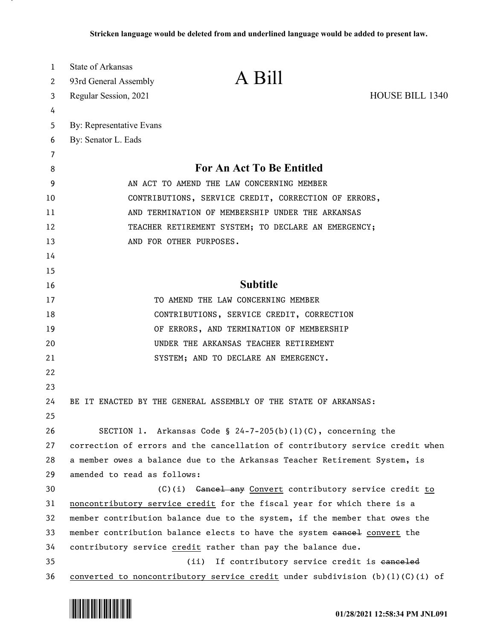| 1        | <b>State of Arkansas</b>                                                       |                                                              |                        |
|----------|--------------------------------------------------------------------------------|--------------------------------------------------------------|------------------------|
| 2        | 93rd General Assembly                                                          | A Bill                                                       |                        |
| 3        | Regular Session, 2021                                                          |                                                              | <b>HOUSE BILL 1340</b> |
| 4        |                                                                                |                                                              |                        |
| 5        | By: Representative Evans                                                       |                                                              |                        |
| 6        | By: Senator L. Eads                                                            |                                                              |                        |
| 7        |                                                                                |                                                              |                        |
| 8        |                                                                                | For An Act To Be Entitled                                    |                        |
| 9        | AN ACT TO AMEND THE LAW CONCERNING MEMBER                                      |                                                              |                        |
| 10       | CONTRIBUTIONS, SERVICE CREDIT, CORRECTION OF ERRORS,                           |                                                              |                        |
| 11       | AND TERMINATION OF MEMBERSHIP UNDER THE ARKANSAS                               |                                                              |                        |
| 12       | TEACHER RETIREMENT SYSTEM; TO DECLARE AN EMERGENCY;<br>AND FOR OTHER PURPOSES. |                                                              |                        |
| 13       |                                                                                |                                                              |                        |
| 14       |                                                                                |                                                              |                        |
| 15<br>16 |                                                                                | <b>Subtitle</b>                                              |                        |
| 17       |                                                                                | TO AMEND THE LAW CONCERNING MEMBER                           |                        |
| 18       |                                                                                | CONTRIBUTIONS, SERVICE CREDIT, CORRECTION                    |                        |
| 19       |                                                                                | OF ERRORS, AND TERMINATION OF MEMBERSHIP                     |                        |
| 20       |                                                                                | UNDER THE ARKANSAS TEACHER RETIREMENT                        |                        |
| 21       |                                                                                | SYSTEM; AND TO DECLARE AN EMERGENCY.                         |                        |
| 22       |                                                                                |                                                              |                        |
| 23       |                                                                                |                                                              |                        |
| 24       | BE IT ENACTED BY THE GENERAL ASSEMBLY OF THE STATE OF ARKANSAS:                |                                                              |                        |
| 25       |                                                                                |                                                              |                        |
| 26       |                                                                                | SECTION 1. Arkansas Code § 24-7-205(b)(1)(C), concerning the |                        |
| 27       | correction of errors and the cancellation of contributory service credit when  |                                                              |                        |
| 28       | a member owes a balance due to the Arkansas Teacher Retirement System, is      |                                                              |                        |
| 29       | amended to read as follows:                                                    |                                                              |                        |
| 30       |                                                                                | (C)(i) Gancel any Convert contributory service credit to     |                        |
| 31       | noncontributory service credit for the fiscal year for which there is a        |                                                              |                        |
| 32       | member contribution balance due to the system, if the member that owes the     |                                                              |                        |
| 33       | member contribution balance elects to have the system eancel convert the       |                                                              |                        |
| 34       | contributory service credit rather than pay the balance due.                   |                                                              |                        |
| 35       | (ii)                                                                           | If contributory service credit is eanceled                   |                        |
| 36       | converted to noncontributory service credit under subdivision (b)(l)(C)(i) of  |                                                              |                        |

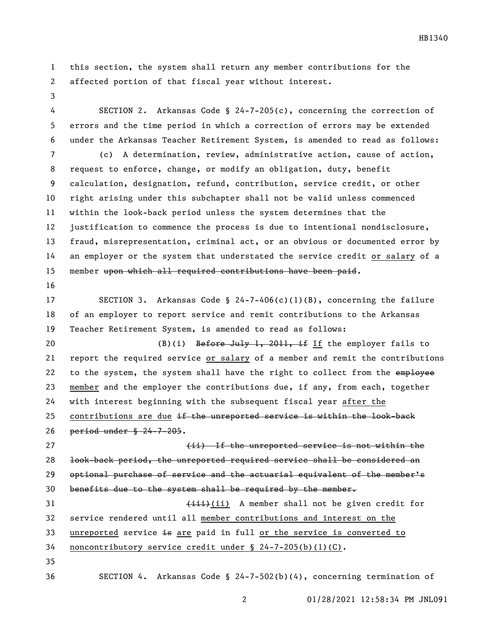this section, the system shall return any member contributions for the affected portion of that fiscal year without interest.

 SECTION 2. Arkansas Code § 24-7-205(c), concerning the correction of errors and the time period in which a correction of errors may be extended under the Arkansas Teacher Retirement System, is amended to read as follows:

 (c) A determination, review, administrative action, cause of action, request to enforce, change, or modify an obligation, duty, benefit calculation, designation, refund, contribution, service credit, or other right arising under this subchapter shall not be valid unless commenced within the look-back period unless the system determines that the justification to commence the process is due to intentional nondisclosure, fraud, misrepresentation, criminal act, or an obvious or documented error by an employer or the system that understated the service credit or salary of a 15 member upon which all required contributions have been paid.

 SECTION 3. Arkansas Code § 24-7-406(c)(1)(B), concerning the failure of an employer to report service and remit contributions to the Arkansas Teacher Retirement System, is amended to read as follows:

20 (B)(i) Before July 1, 2011, if If the employer fails to report the required service or salary of a member and remit the contributions 22 to the system, the system shall have the right to collect from the employee member and the employer the contributions due, if any, from each, together with interest beginning with the subsequent fiscal year after the contributions are due if the unreported service is within the look-back period under § 24-7-205.

 (ii) If the unreported service is not within the look-back period, the unreported required service shall be considered an 29 optional purchase of service and the actuarial equivalent of the member's benefits due to the system shall be required by the member. 31 (iii) A member shall not be given credit for service rendered until all member contributions and interest on the

33 unreported service is are paid in full or the service is converted to

noncontributory service credit under § 24-7-205(b)(1)(C).

SECTION 4. Arkansas Code § 24-7-502(b)(4), concerning termination of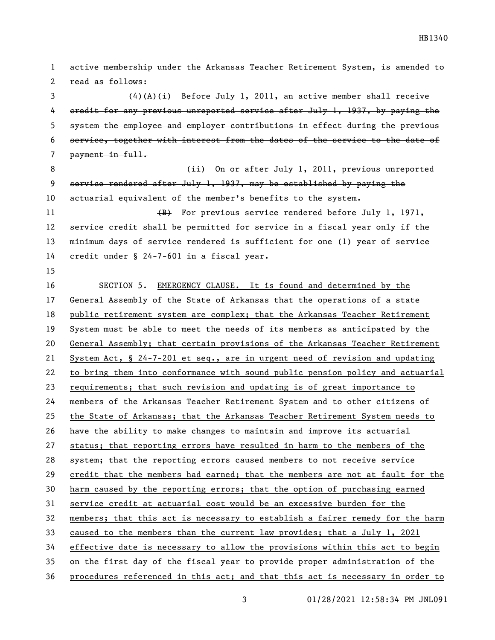active membership under the Arkansas Teacher Retirement System, is amended to read as follows:

 $(4)$ (A)(i) Before July 1, 2011, an active member shall receive credit for any previous unreported service after July 1, 1937, by paying the system the employee and employer contributions in effect during the previous service, together with interest from the dates of the service to the date of 7 payment in full.

8 (ii) On or after July 1, 2011, previous unreported service rendered after July 1, 1937, may be established by paying the actuarial equivalent of the member's benefits to the system. 11 (B) For previous service rendered before July 1, 1971, service credit shall be permitted for service in a fiscal year only if the minimum days of service rendered is sufficient for one (1) year of service

credit under § 24-7-601 in a fiscal year.

 SECTION 5. EMERGENCY CLAUSE. It is found and determined by the General Assembly of the State of Arkansas that the operations of a state public retirement system are complex; that the Arkansas Teacher Retirement System must be able to meet the needs of its members as anticipated by the 20 General Assembly; that certain provisions of the Arkansas Teacher Retirement System Act, § 24-7-201 et seq., are in urgent need of revision and updating to bring them into conformance with sound public pension policy and actuarial requirements; that such revision and updating is of great importance to members of the Arkansas Teacher Retirement System and to other citizens of the State of Arkansas; that the Arkansas Teacher Retirement System needs to have the ability to make changes to maintain and improve its actuarial status; that reporting errors have resulted in harm to the members of the system; that the reporting errors caused members to not receive service credit that the members had earned; that the members are not at fault for the harm caused by the reporting errors; that the option of purchasing earned service credit at actuarial cost would be an excessive burden for the members; that this act is necessary to establish a fairer remedy for the harm caused to the members than the current law provides; that a July 1, 2021 effective date is necessary to allow the provisions within this act to begin on the first day of the fiscal year to provide proper administration of the procedures referenced in this act; and that this act is necessary in order to